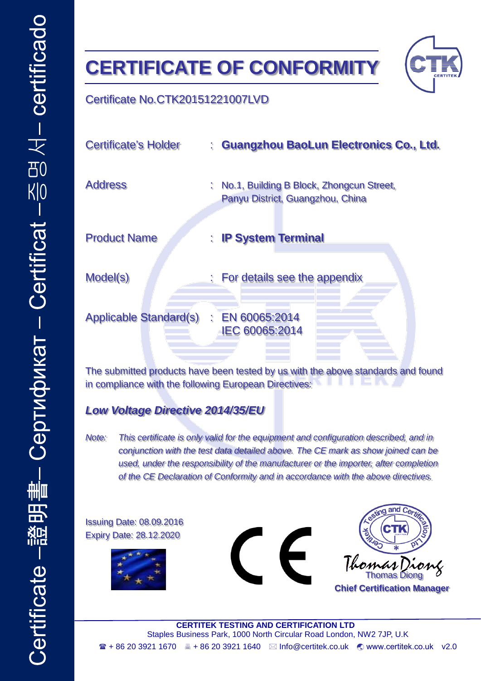# **CERTIFICATE OF CONFORMITY**



#### Certificate No.CTK20151221007LVD

| <b>Certificate's Holder</b>   |    | : Guangzhou BaoLun Electronics Co., Ltd.                                     |
|-------------------------------|----|------------------------------------------------------------------------------|
| <b>Address</b>                | t. | No.1, Building B Block, Zhongcun Street,<br>Panyu District, Guangzhou, China |
| <b>Product Name</b>           |    | : IP System Terminal                                                         |
| Model(s)                      |    | : For details see the appendix                                               |
| <b>Applicable Standard(s)</b> |    | $\therefore$ EN 60065:2014<br>IEC 60065:2014                                 |

The submitted products have been tested by us with the above standards and found in compliance with the following European Directives:

### *Low Voltage Directive 2014/35/EU*

*Note: This certificate is only valid for the equipment and configuration described, and in conjunction with the test data detailed above. The CE mark as show joined can be used, under the responsibility of the manufacturer or the importer, after completion of the CE Declaration of Conformity and in accordance with the above directives.*

Issuing Date: 08.09.2016 Expiry Date: 28.12.2020







**CERTITEK TESTING AND CERTIFICATION LTD** Staples Business Park, 1000 North Circular Road London, NW2 7JP, U.K + 86 20 3921 1670 + 86 20 3921 1640 Info@certitek.co.uk www.certitek.co.uk v2.0